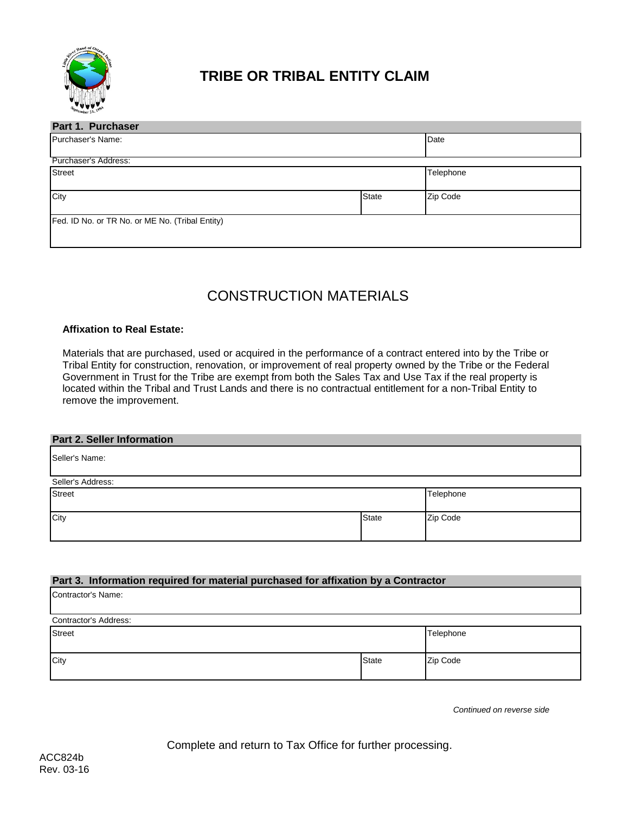

# **TRIBE OR TRIBAL ENTITY CLAIM**

| Part 1. Purchaser                               |              |           |  |  |  |
|-------------------------------------------------|--------------|-----------|--|--|--|
| Purchaser's Name:                               |              | Date      |  |  |  |
| Purchaser's Address:                            |              |           |  |  |  |
| <b>Street</b>                                   |              | Telephone |  |  |  |
| City                                            | <b>State</b> | Zip Code  |  |  |  |
| Fed. ID No. or TR No. or ME No. (Tribal Entity) |              |           |  |  |  |

# CONSTRUCTION MATERIALS

## **Affixation to Real Estate:**

Materials that are purchased, used or acquired in the performance of a contract entered into by the Tribe or Tribal Entity for construction, renovation, or improvement of real property owned by the Tribe or the Federal Government in Trust for the Tribe are exempt from both the Sales Tax and Use Tax if the real property is located within the Tribal and Trust Lands and there is no contractual entitlement for a non-Tribal Entity to remove the improvement.

### **Part 2. Seller Information**

Seller's Name:

| Seller's Address: |              |           |
|-------------------|--------------|-----------|
| <b>Street</b>     |              | Telephone |
|                   |              |           |
|                   |              |           |
| City              | <b>State</b> | Zip Code  |
|                   |              |           |
|                   |              |           |
|                   |              |           |

### **Part 3. Information required for material purchased for affixation by a Contractor**

| Contractor's Address: |              |           |  |  |
|-----------------------|--------------|-----------|--|--|
| <b>Street</b>         |              | Telephone |  |  |
|                       |              |           |  |  |
| City                  | <b>State</b> | Zip Code  |  |  |
|                       |              |           |  |  |

*Continued on reverse side*